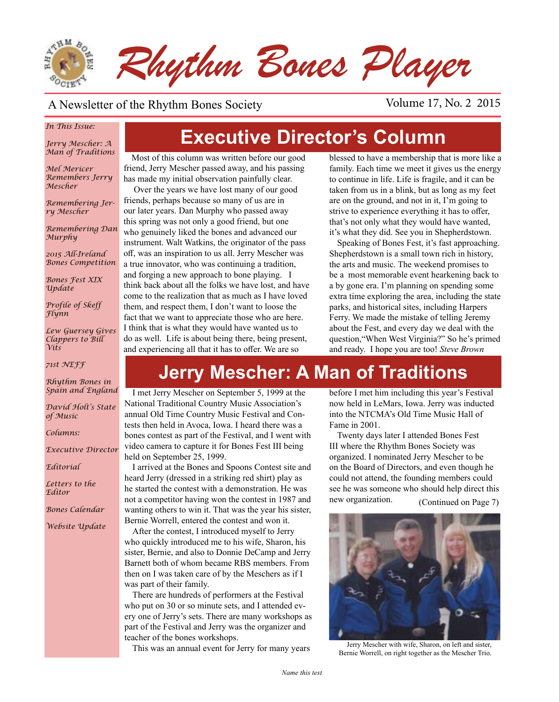

#### A Newsletter of the Rhythm Bones Society Volume 17, No. 2 2015

#### *In This Issue:*

*Jerry Mescher: A Man of Traditions*

*Mel Mericer Remembers Jerry Mescher*

*Remembering Jerry Mescher*

*Remembering Dan Murphy*

*2015 All-Ireland Bones Competition*

*Bones Fest XIX Update*

*Profile of Skeff Flynn*

*Lew Guersey Gives Clappers to Bill Vits*

*71st NEFF*

*Rhythm Bones in Spain and England*

*David Holt's State of Music*

*Columns:* 

*Executive Director*

*Editorial*

*Letters to the Editor*

*Bones Calendar*

*Website Update*

# **Executive Director's Column**

Most of this column was written before our good friend, Jerry Mescher passed away, and his passing has made my initial observation painfully clear.

 Over the years we have lost many of our good friends, perhaps because so many of us are in our later years. Dan Murphy who passed away this spring was not only a good friend, but one who genuinely liked the bones and advanced our instrument. Walt Watkins, the originator of the pass off, was an inspiration to us all. Jerry Mescher was a true innovator, who was continuing a tradition, and forging a new approach to bone playing. I think back about all the folks we have lost, and have come to the realization that as much as I have loved them, and respect them, I don't want to loose the fact that we want to appreciate those who are here. I think that is what they would have wanted us to do as well. Life is about being there, being present, and experiencing all that it has to offer. We are so

blessed to have a membership that is more like a family. Each time we meet it gives us the energy to continue in life. Life is fragile, and it can be taken from us in a blink, but as long as my feet are on the ground, and not in it, I'm going to strive to experience everything it has to offer, that's not only what they would have wanted, it's what they did. See you in Shepherdstown.

Speaking of Bones Fest, it's fast approaching. Shepherdstown is a small town rich in history, the arts and music. The weekend promises to be a most memorable event hearkening back to a by gone era. I'm planning on spending some extra time exploring the area, including the state parks, and historical sites, including Harpers Ferry. We made the mistake of telling Jeremy about the Fest, and every day we deal with the question,"When West Virginia?" So he's primed and ready. I hope you are too! *Steve Brown*

# **Jerry Mescher: A Man of Traditions**

I met Jerry Mescher on September 5, 1999 at the National Traditional Country Music Association's annual Old Time Country Music Festival and Contests then held in Avoca, Iowa. I heard there was a bones contest as part of the Festival, and I went with video camera to capture it for Bones Fest III being held on September 25, 1999.

I arrived at the Bones and Spoons Contest site and heard Jerry (dressed in a striking red shirt) play as he started the contest with a demonstration. He was not a competitor having won the contest in 1987 and wanting others to win it. That was the year his sister, Bernie Worrell, entered the contest and won it.

After the contest, I introduced myself to Jerry who quickly introduced me to his wife, Sharon, his sister, Bernie, and also to Donnie DeCamp and Jerry Barnett both of whom became RBS members. From then on I was taken care of by the Meschers as if I was part of their family.

There are hundreds of performers at the Festival who put on 30 or so minute sets, and I attended every one of Jerry's sets. There are many workshops as part of the Festival and Jerry was the organizer and teacher of the bones workshops.

before I met him including this year's Festival now held in LeMars, Iowa. Jerry was inducted into the NTCMA's Old Time Music Hall of Fame in 2001.

(Continued on Page 7) Twenty days later I attended Bones Fest III where the Rhythm Bones Society was organized. I nominated Jerry Mescher to be on the Board of Directors, and even though he could not attend, the founding members could see he was someone who should help direct this new organization.

This was an annual event for Jerry for many years Jerry Mescher with wife, Sharon, on left and sister, Bernie Worrell, on right together as the Mescher Trio.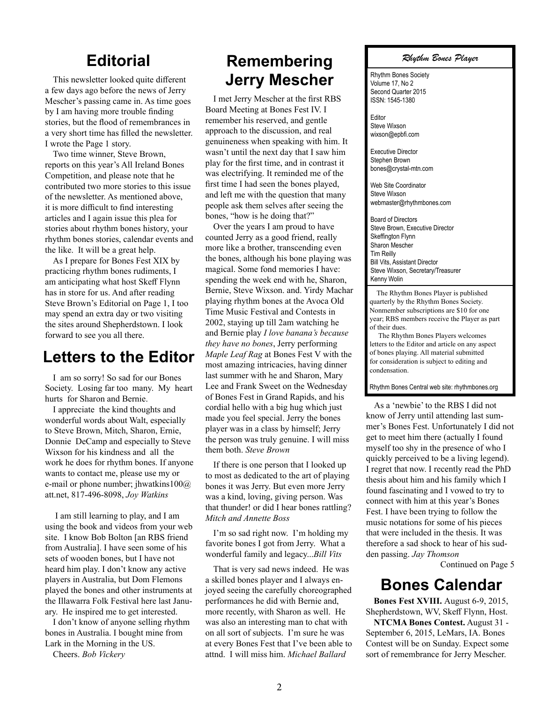#### **Editorial**

This newsletter looked quite different a few days ago before the news of Jerry Mescher's passing came in. As time goes by I am having more trouble finding stories, but the flood of remembrances in a very short time has filled the newsletter. I wrote the Page 1 story.

Two time winner, Steve Brown, reports on this year's All Ireland Bones Competition, and please note that he contributed two more stories to this issue of the newsletter. As mentioned above, it is more difficult to find interesting articles and I again issue this plea for stories about rhythm bones history, your rhythm bones stories, calendar events and the like. It will be a great help.

As I prepare for Bones Fest XIX by practicing rhythm bones rudiments, I am anticipating what host Skeff Flynn has in store for us. And after reading Steve Brown's Editorial on Page 1, I too may spend an extra day or two visiting the sites around Shepherdstown. I look forward to see you all there.

#### **Letters to the Editor**

I am so sorry! So sad for our Bones Society. Losing far too many. My heart hurts for Sharon and Bernie.

I appreciate the kind thoughts and wonderful words about Walt, especially to Steve Brown, Mitch, Sharon, Ernie, Donnie DeCamp and especially to Steve Wixson for his kindness and all the work he does for rhythm bones. If anyone wants to contact me, please use my or e-mail or phone number; jhwatkins100@ att.net, 817-496-8098, *Joy Watkins*

 I am still learning to play, and I am using the book and videos from your web site. I know Bob Bolton [an RBS friend from Australia]. I have seen some of his sets of wooden bones, but I have not heard him play. I don't know any active players in Australia, but Dom Flemons played the bones and other instruments at the Illawarra Folk Festival here last January. He inspired me to get interested.

I don't know of anyone selling rhythm bones in Australia. I bought mine from Lark in the Morning in the US.

Cheers. *Bob Vickery*

### **Remembering Jerry Mescher**

I met Jerry Mescher at the first RBS Board Meeting at Bones Fest IV. I remember his reserved, and gentle approach to the discussion, and real genuineness when speaking with him. It wasn't until the next day that I saw him play for the first time, and in contrast it was electrifying. It reminded me of the first time I had seen the bones played, and left me with the question that many people ask them selves after seeing the bones, "how is he doing that?"

Over the years I am proud to have counted Jerry as a good friend, really more like a brother, transcending even the bones, although his bone playing was magical. Some fond memories I have: spending the week end with he, Sharon, Bernie, Steve Wixson. and. Yirdy Machar playing rhythm bones at the Avoca Old Time Music Festival and Contests in 2002, staying up till 2am watching he and Bernie play *I love banana's because they have no bones*, Jerry performing *Maple Leaf Rag* at Bones Fest V with the most amazing intricacies, having dinner last summer with he and Sharon, Mary Lee and Frank Sweet on the Wednesday of Bones Fest in Grand Rapids, and his cordial hello with a big hug which just made you feel special. Jerry the bones player was in a class by himself; Jerry the person was truly genuine. I will miss them both. *Steve Brown*

If there is one person that I looked up to most as dedicated to the art of playing bones it was Jerry. But even more Jerry was a kind, loving, giving person. Was that thunder! or did I hear bones rattling? *Mitch and Annette Boss*

I'm so sad right now. I'm holding my favorite bones I got from Jerry. What a wonderful family and legacy...*Bill Vits*

That is very sad news indeed. He was a skilled bones player and I always enjoyed seeing the carefully choreographed performances he did with Bernie and, more recently, with Sharon as well. He was also an interesting man to chat with on all sort of subjects. I'm sure he was at every Bones Fest that I've been able to attnd. I will miss him. *Michael Ballard*

#### *Rhythm Bones Player*

Rhythm Bones Society Volume 17, No 2 Second Quarter 2015 ISSN: 1545-1380

Editor Steve Wixson wixson@epbfi.com

Executive Director Stephen Brown bones@crystal-mtn.com

Web Site Coordinator Steve Wixson webmaster@rhythmbones.com

Board of Directors Steve Brown, Executive Director Skeffington Flynn Sharon Mescher Tim Reilly Bill Vits, Assistant Director Steve Wixson, Secretary/Treasurer Kenny Wolin

 The Rhythm Bones Player is published quarterly by the Rhythm Bones Society. Nonmember subscriptions are \$10 for one year; RBS members receive the Player as part of their dues.

 The Rhythm Bones Players welcomes letters to the Editor and article on any aspect of bones playing. All material submitted for consideration is subject to editing and condensation.

Rhythm Bones Central web site: rhythmbones.org

As a 'newbie' to the RBS I did not know of Jerry until attending last summer's Bones Fest. Unfortunately I did not get to meet him there (actually I found myself too shy in the presence of who I quickly perceived to be a living legend). I regret that now. I recently read the PhD thesis about him and his family which I found fascinating and I vowed to try to connect with him at this year's Bones Fest. I have been trying to follow the music notations for some of his pieces that were included in the thesis. It was therefore a sad shock to hear of his sudden passing. *Jay Thomson*

Continued on Page 5

#### **Bones Calendar**

**Bones Fest XVIII.** August 6-9, 2015, Shepherdstown, WV, Skeff Flynn, Host.

**NTCMA Bones Contest.** August 31 - September 6, 2015, LeMars, IA. Bones Contest will be on Sunday. Expect some sort of remembrance for Jerry Mescher.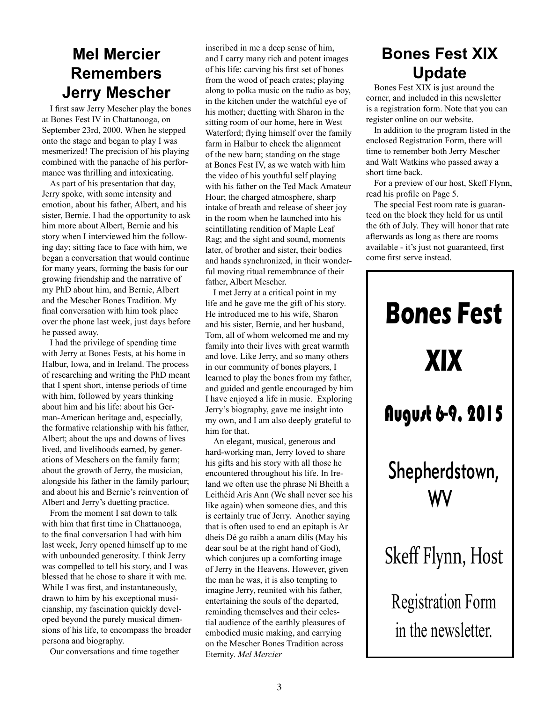#### **Mel Mercier Remembers Jerry Mescher**

I first saw Jerry Mescher play the bones at Bones Fest IV in Chattanooga, on September 23rd, 2000. When he stepped onto the stage and began to play I was mesmerized! The precision of his playing combined with the panache of his performance was thrilling and intoxicating.

As part of his presentation that day, Jerry spoke, with some intensity and emotion, about his father, Albert, and his sister, Bernie. I had the opportunity to ask him more about Albert, Bernie and his story when I interviewed him the following day; sitting face to face with him, we began a conversation that would continue for many years, forming the basis for our growing friendship and the narrative of my PhD about him, and Bernie, Albert and the Mescher Bones Tradition. My final conversation with him took place over the phone last week, just days before he passed away.

I had the privilege of spending time with Jerry at Bones Fests, at his home in Halbur, Iowa, and in Ireland. The process of researching and writing the PhD meant that I spent short, intense periods of time with him, followed by years thinking about him and his life: about his German-American heritage and, especially, the formative relationship with his father, Albert; about the ups and downs of lives lived, and livelihoods earned, by generations of Meschers on the family farm; about the growth of Jerry, the musician, alongside his father in the family parlour; and about his and Bernie's reinvention of Albert and Jerry's duetting practice.

From the moment I sat down to talk with him that first time in Chattanooga, to the final conversation I had with him last week, Jerry opened himself up to me with unbounded generosity. I think Jerry was compelled to tell his story, and I was blessed that he chose to share it with me. While I was first, and instantaneously, drawn to him by his exceptional musicianship, my fascination quickly developed beyond the purely musical dimensions of his life, to encompass the broader persona and biography.

Our conversations and time together

inscribed in me a deep sense of him, and I carry many rich and potent images of his life: carving his first set of bones from the wood of peach crates; playing along to polka music on the radio as boy, in the kitchen under the watchful eye of his mother; duetting with Sharon in the sitting room of our home, here in West Waterford; flying himself over the family farm in Halbur to check the alignment of the new barn; standing on the stage at Bones Fest IV, as we watch with him the video of his youthful self playing with his father on the Ted Mack Amateur Hour; the charged atmosphere, sharp intake of breath and release of sheer joy in the room when he launched into his scintillating rendition of Maple Leaf Rag; and the sight and sound, moments later, of brother and sister, their bodies and hands synchronized, in their wonderful moving ritual remembrance of their father, Albert Mescher.

I met Jerry at a critical point in my life and he gave me the gift of his story. He introduced me to his wife, Sharon and his sister, Bernie, and her husband, Tom, all of whom welcomed me and my family into their lives with great warmth and love. Like Jerry, and so many others in our community of bones players, I learned to play the bones from my father, and guided and gentle encouraged by him I have enjoyed a life in music. Exploring Jerry's biography, gave me insight into my own, and I am also deeply grateful to him for that.

An elegant, musical, generous and hard-working man, Jerry loved to share his gifts and his story with all those he encountered throughout his life. In Ireland we often use the phrase Ní Bheith a Leithéid Arís Ann (We shall never see his like again) when someone dies, and this is certainly true of Jerry. Another saying that is often used to end an epitaph is Ar dheis Dé go raibh a anam dilís (May his dear soul be at the right hand of God), which conjures up a comforting image of Jerry in the Heavens. However, given the man he was, it is also tempting to imagine Jerry, reunited with his father, entertaining the souls of the departed, reminding themselves and their celestial audience of the earthly pleasures of embodied music making, and carrying on the Mescher Bones Tradition across Eternity. *Mel Mercier*

## **Bones Fest XIX Update**

Bones Fest XIX is just around the corner, and included in this newsletter is a registration form. Note that you can register online on our website.

In addition to the program listed in the enclosed Registration Form, there will time to remember both Jerry Mescher and Walt Watkins who passed away a short time back.

For a preview of our host, Skeff Flynn, read his profile on Page 5.

The special Fest room rate is guaranteed on the block they held for us until the 6th of July. They will honor that rate afterwards as long as there are rooms available - it's just not guaranteed, first come first serve instead.

# **Bones Fest XIX** August 6-9, 2015 Shepherdstown, WV Skeff Flynn, Host Registration Form in the newsletter.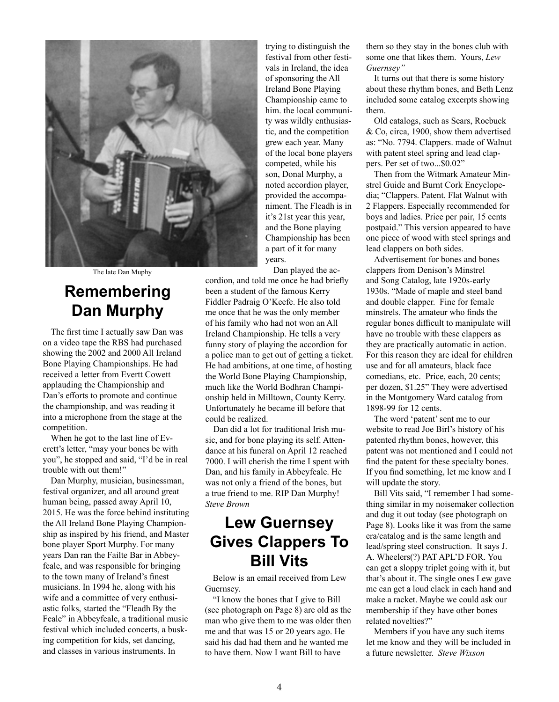

The late Dan Muphy

#### **Remembering Dan Murphy**

The first time I actually saw Dan was on a video tape the RBS had purchased showing the 2002 and 2000 All Ireland Bone Playing Championships. He had received a letter from Evertt Cowett applauding the Championship and Dan's efforts to promote and continue the championship, and was reading it into a microphone from the stage at the competition.

When he got to the last line of Everett's letter, "may your bones be with you", he stopped and said, "I'd be in real trouble with out them!"

Dan Murphy, musician, businessman, festival organizer, and all around great human being, passed away April 10, 2015. He was the force behind instituting the All Ireland Bone Playing Championship as inspired by his friend, and Master bone player Sport Murphy. For many years Dan ran the Failte Bar in Abbeyfeale, and was responsible for bringing to the town many of Ireland's finest musicians. In 1994 he, along with his wife and a committee of very enthusiastic folks, started the "Fleadh By the Feale" in Abbeyfeale, a traditional music festival which included concerts, a busking competition for kids, set dancing, and classes in various instruments. In

trying to distinguish the festival from other festivals in Ireland, the idea of sponsoring the All Ireland Bone Playing Championship came to him. the local community was wildly enthusiastic, and the competition grew each year. Many of the local bone players competed, while his son, Donal Murphy, a noted accordion player, provided the accompaniment. The Fleadh is in it's 21st year this year, and the Bone playing Championship has been a part of it for many years.

Dan played the accordion, and told me once he had briefly been a student of the famous Kerry Fiddler Padraig O'Keefe. He also told me once that he was the only member of his family who had not won an All Ireland Championship. He tells a very funny story of playing the accordion for a police man to get out of getting a ticket. He had ambitions, at one time, of hosting the World Bone Playing Championship, much like the World Bodhran Championship held in Milltown, County Kerry. Unfortunately he became ill before that

could be realized. Dan did a lot for traditional Irish music, and for bone playing its self. Attendance at his funeral on April 12 reached 7000. I will cherish the time I spent with Dan, and his family in Abbeyfeale. He was not only a friend of the bones, but a true friend to me. RIP Dan Murphy! *Steve Brown*

#### **Lew Guernsey Gives Clappers To Bill Vits**

Below is an email received from Lew Guernsey.

"I know the bones that I give to Bill (see photograph on Page 8) are old as the man who give them to me was older then me and that was 15 or 20 years ago. He said his dad had them and he wanted me to have them. Now I want Bill to have

them so they stay in the bones club with some one that likes them. Yours, *Lew Guernsey"*

It turns out that there is some history about these rhythm bones, and Beth Lenz included some catalog excerpts showing them.

Old catalogs, such as Sears, Roebuck & Co, circa, 1900, show them advertised as: "No. 7794. Clappers. made of Walnut with patent steel spring and lead clappers. Per set of two...\$0.02"

Then from the Witmark Amateur Minstrel Guide and Burnt Cork Encyclopedia; "Clappers. Patent. Flat Walnut with 2 Flappers. Especially recommended for boys and ladies. Price per pair, 15 cents postpaid." This version appeared to have one piece of wood with steel springs and lead clappers on both sides.

Advertisement for bones and bones clappers from Denison's Minstrel and Song Catalog, late 1920s-early 1930s. "Made of maple and steel band and double clapper. Fine for female minstrels. The amateur who finds the regular bones difficult to manipulate will have no trouble with these clappers as they are practically automatic in action. For this reason they are ideal for children use and for all amateurs, black face comedians, etc. Price, each, 20 cents; per dozen, \$1.25" They were advertised in the Montgomery Ward catalog from 1898-99 for 12 cents.

The word 'patent' sent me to our website to read Joe Birl's history of his patented rhythm bones, however, this patent was not mentioned and I could not find the patent for these specialty bones. If you find something, let me know and I will update the story.

Bill Vits said, "I remember I had something similar in my noisemaker collection and dug it out today (see photograph on Page 8). Looks like it was from the same era/catalog and is the same length and lead/spring steel construction. It says J. A. Wheelers(?) PAT APL'D FOR. You can get a sloppy triplet going with it, but that's about it. The single ones Lew gave me can get a loud clack in each hand and make a racket. Maybe we could ask our membership if they have other bones related novelties?"

Members if you have any such items let me know and they will be included in a future newsletter. *Steve Wixson*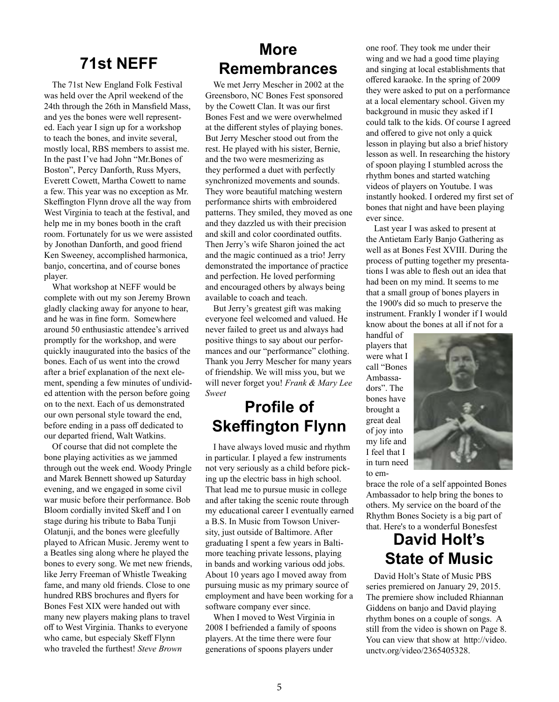## **71st NEFF**

The 71st New England Folk Festival was held over the April weekend of the 24th through the 26th in Mansfield Mass, and yes the bones were well represented. Each year I sign up for a workshop to teach the bones, and invite several, mostly local, RBS members to assist me. In the past I've had John "Mr.Bones of Boston", Percy Danforth, Russ Myers, Everett Cowett, Martha Cowett to name a few. This year was no exception as Mr. Skeffington Flynn drove all the way from West Virginia to teach at the festival, and help me in my bones booth in the craft room. Fortunately for us we were assisted by Jonothan Danforth, and good friend Ken Sweeney, accomplished harmonica, banjo, concertina, and of course bones player.

What workshop at NEFF would be complete with out my son Jeremy Brown gladly clacking away for anyone to hear, and he was in fine form. Somewhere around 50 enthusiastic attendee's arrived promptly for the workshop, and were quickly inaugurated into the basics of the bones. Each of us went into the crowd after a brief explanation of the next element, spending a few minutes of undivided attention with the person before going on to the next. Each of us demonstrated our own personal style toward the end, before ending in a pass off dedicated to our departed friend, Walt Watkins.

Of course that did not complete the bone playing activities as we jammed through out the week end. Woody Pringle and Marek Bennett showed up Saturday evening, and we engaged in some civil war music before their performance. Bob Bloom cordially invited Skeff and I on stage during his tribute to Baba Tunji Olatunji, and the bones were gleefully played to African Music. Jeremy went to a Beatles sing along where he played the bones to every song. We met new friends, like Jerry Freeman of Whistle Tweaking fame, and many old friends. Close to one hundred RBS brochures and flyers for Bones Fest XIX were handed out with many new players making plans to travel off to West Virginia. Thanks to everyone who came, but especialy Skeff Flynn who traveled the furthest! *Steve Brown*

#### **More Remembrances**

We met Jerry Mescher in 2002 at the Greensboro, NC Bones Fest sponsored by the Cowett Clan. It was our first Bones Fest and we were overwhelmed at the different styles of playing bones. But Jerry Mescher stood out from the rest. He played with his sister, Bernie, and the two were mesmerizing as they performed a duet with perfectly synchronized movements and sounds. They wore beautiful matching western performance shirts with embroidered patterns. They smiled, they moved as one and they dazzled us with their precision and skill and color coordinated outfits. Then Jerry's wife Sharon joined the act and the magic continued as a trio! Jerry demonstrated the importance of practice and perfection. He loved performing and encouraged others by always being available to coach and teach.

But Jerry's greatest gift was making everyone feel welcomed and valued. He never failed to greet us and always had positive things to say about our performances and our "performance" clothing. Thank you Jerry Mescher for many years of friendship. We will miss you, but we will never forget you! *Frank & Mary Lee Sweet*

#### **Profile of Skeffington Flynn**

I have always loved music and rhythm in particular. I played a few instruments not very seriously as a child before picking up the electric bass in high school. That lead me to pursue music in college and after taking the scenic route through my educational career I eventually earned a B.S. In Music from Towson University, just outside of Baltimore. After graduating I spent a few years in Baltimore teaching private lessons, playing in bands and working various odd jobs. About 10 years ago I moved away from pursuing music as my primary source of employment and have been working for a software company ever since.

When I moved to West Virginia in 2008 I befriended a family of spoons players. At the time there were four generations of spoons players under

one roof. They took me under their wing and we had a good time playing and singing at local establishments that offered karaoke. In the spring of 2009 they were asked to put on a performance at a local elementary school. Given my background in music they asked if I could talk to the kids. Of course I agreed and offered to give not only a quick lesson in playing but also a brief history lesson as well. In researching the history of spoon playing I stumbled across the rhythm bones and started watching videos of players on Youtube. I was instantly hooked. I ordered my first set of bones that night and have been playing ever since.

Last year I was asked to present at the Antietam Early Banjo Gathering as well as at Bones Fest XVIII. During the process of putting together my presentations I was able to flesh out an idea that had been on my mind. It seems to me that a small group of bones players in the 1900's did so much to preserve the instrument. Frankly I wonder if I would know about the bones at all if not for a

handful of players that were what I call "Bones Ambassadors". The bones have brought a great deal of joy into my life and I feel that I in turn need to em-



brace the role of a self appointed Bones Ambassador to help bring the bones to others. My service on the board of the Rhythm Bones Society is a big part of that. Here's to a wonderful Bonesfest

## **David Holt's State of Music**

David Holt's State of Music PBS series premiered on January 29, 2015. The premiere show included Rhiannan Giddens on banjo and David playing rhythm bones on a couple of songs. A still from the video is shown on Page 8. You can view that show at http://video. unctv.org/video/2365405328.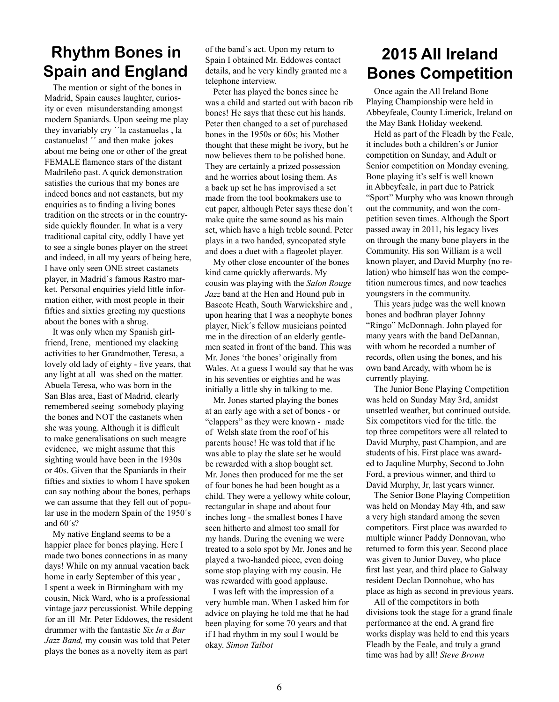#### **Rhythm Bones in Spain and England**

The mention or sight of the bones in Madrid, Spain causes laughter, curiosity or even misunderstanding amongst modern Spaniards. Upon seeing me play they invariably cry ´´la castanuelas , la castanuelas! " and then make jokes about me being one or other of the great FEMALE flamenco stars of the distant Madrileño past. A quick demonstration satisfies the curious that my bones are indeed bones and not castanets, but my enquiries as to finding a living bones tradition on the streets or in the countryside quickly flounder. In what is a very traditional capital city, oddly I have yet to see a single bones player on the street and indeed, in all my years of being here, I have only seen ONE street castanets player, in Madrid´s famous Rastro market. Personal enquiries yield little information either, with most people in their fifties and sixties greeting my questions about the bones with a shrug.

It was only when my Spanish girlfriend, Irene, mentioned my clacking activities to her Grandmother, Teresa, a lovely old lady of eighty - five years, that any light at all was shed on the matter. Abuela Teresa, who was born in the San Blas area, East of Madrid, clearly remembered seeing somebody playing the bones and NOT the castanets when she was young. Although it is difficult to make generalisations on such meagre evidence, we might assume that this sighting would have been in the 1930s or 40s. Given that the Spaniards in their fifties and sixties to whom I have spoken can say nothing about the bones, perhaps we can assume that they fell out of popular use in the modern Spain of the 1950´s and 60´s?

My native England seems to be a happier place for bones playing. Here I made two bones connections in as many days! While on my annual vacation back home in early September of this year , I spent a week in Birmingham with my cousin, Nick Ward, who is a professional vintage jazz percussionist. While depping for an ill Mr. Peter Eddowes, the resident drummer with the fantastic *Six In a Bar Jazz Band,* my cousin was told that Peter plays the bones as a novelty item as part

of the band´s act. Upon my return to Spain I obtained Mr. Eddowes contact details, and he very kindly granted me a telephone interview.

Peter has played the bones since he was a child and started out with bacon rib bones! He says that these cut his hands. Peter then changed to a set of purchased bones in the 1950s or 60s; his Mother thought that these might be ivory, but he now believes them to be polished bone. They are certainly a prized possession and he worries about losing them. As a back up set he has improvised a set made from the tool bookmakers use to cut paper, although Peter says these don´t make quite the same sound as his main set, which have a high treble sound. Peter plays in a two handed, syncopated style and does a duet with a flageolet player.

My other close encounter of the bones kind came quickly afterwards. My cousin was playing with the *Salon Rouge Jazz* band at the Hen and Hound pub in Bascote Heath, South Warwickshire and , upon hearing that I was a neophyte bones player, Nick´s fellow musicians pointed me in the direction of an elderly gentlemen seated in front of the band. This was Mr. Jones 'the bones' originally from Wales. At a guess I would say that he was in his seventies or eighties and he was initially a little shy in talking to me.

Mr. Jones started playing the bones at an early age with a set of bones - or "clappers" as they were known - made of Welsh slate from the roof of his parents house! He was told that if he was able to play the slate set he would be rewarded with a shop bought set. Mr. Jones then produced for me the set of four bones he had been bought as a child. They were a yellowy white colour, rectangular in shape and about four inches long - the smallest bones I have seen hitherto and almost too small for my hands. During the evening we were treated to a solo spot by Mr. Jones and he played a two-handed piece, even doing some stop playing with my cousin. He was rewarded with good applause.

I was left with the impression of a very humble man. When I asked him for advice on playing he told me that he had been playing for some 70 years and that if I had rhythm in my soul I would be okay. *Simon Talbot*

#### **2015 All Ireland Bones Competition**

Once again the All Ireland Bone Playing Championship were held in Abbeyfeale, County Limerick, Ireland on the May Bank Holiday weekend.

Held as part of the Fleadh by the Feale, it includes both a children's or Junior competition on Sunday, and Adult or Senior competition on Monday evening. Bone playing it's self is well known in Abbeyfeale, in part due to Patrick "Sport" Murphy who was known through out the community, and won the competition seven times. Although the Sport passed away in 2011, his legacy lives on through the many bone players in the Community. His son William is a well known player, and David Murphy (no relation) who himself has won the competition numerous times, and now teaches youngsters in the community.

This years judge was the well known bones and bodhran player Johnny "Ringo" McDonnagh. John played for many years with the band DeDannan, with whom he recorded a number of records, often using the bones, and his own band Arcady, with whom he is currently playing.

The Junior Bone Playing Competition was held on Sunday May 3rd, amidst unsettled weather, but continued outside. Six competitors vied for the title. the top three competitors were all related to David Murphy, past Champion, and are students of his. First place was awarded to Jaquline Murphy, Second to John Ford, a previous winner, and third to David Murphy, Jr, last years winner.

The Senior Bone Playing Competition was held on Monday May 4th, and saw a very high standard among the seven competitors. First place was awarded to multiple winner Paddy Donnovan, who returned to form this year. Second place was given to Junior Davey, who place first last year, and third place to Galway resident Declan Donnohue, who has place as high as second in previous years.

All of the competitors in both divisions took the stage for a grand finale performance at the end. A grand fire works display was held to end this years Fleadh by the Feale, and truly a grand time was had by all! *Steve Brown*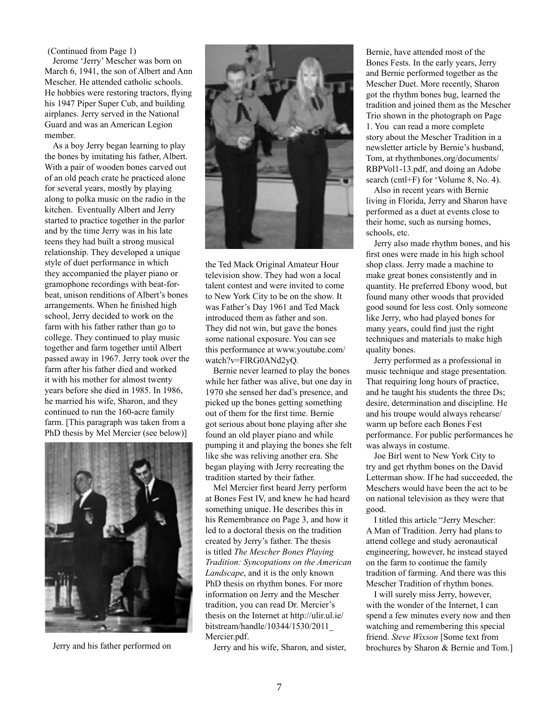(Continued from Page 1)

Jerome 'Jerry' Mescher was born on March 6, 1941, the son of Albert and Ann Mescher. He attended catholic schools. He hobbies were restoring tractors, flying his 1947 Piper Super Cub, and building airplanes. Jerry served in the National Guard and was an American Legion member.

As a boy Jerry began learning to play the bones by imitating his father, Albert. With a pair of wooden bones carved out of an old peach crate he practiced alone for several years, mostly by playing along to polka music on the radio in the kitchen. Eventually Albert and Jerry started to practice together in the parlor and by the time Jerry was in his late teens they had built a strong musical relationship. They developed a unique style of duet performance in which they accompanied the player piano or gramophone recordings with beat-forbeat, unison renditions of Albert's bones arrangements. When he finished high school, Jerry decided to work on the farm with his father rather than go to college. They continued to play music together and farm together until Albert passed away in 1967. Jerry took over the farm after his father died and worked it with his mother for almost twenty years before she died in 1985. In 1986, he married his wife, Sharon, and they continued to run the 160-acre family farm. [This paragraph was taken from a PhD thesis by Mel Mercier (see below)]



Jerry and his father performed on



the Ted Mack Original Amateur Hour television show. They had won a local talent contest and were invited to come to New York City to be on the show. It was Father's Day 1961 and Ted Mack introduced them as father and son. They did not win, but gave the bones some national exposure. You can see this performance at www.youtube.com/ watch?v=FlRG0ANd2yQ*.*

Bernie never learned to play the bones while her father was alive, but one day in 1970 she sensed her dad's presence, and picked up the bones getting something out of them for the first time. Bernie got serious about bone playing after she found an old player piano and while pumping it and playing the bones she felt like she was reliving another era. She began playing with Jerry recreating the tradition started by their father.

Mel Mercier first heard Jerry perform at Bones Fest IV, and knew he had heard something unique. He describes this in his Remembrance on Page 3, and how it led to a doctoral thesis on the tradition created by Jerry's father. The thesis is titled *The Mescher Bones Playing Tradition: Syncopations on the American Landscape*, and it is the only known PhD thesis on rhythm bones. For more information on Jerry and the Mescher tradition, you can read Dr. Mercier's thesis on the Internet at http://ulir.ul.ie/ bitstream/handle/10344/1530/2011\_ Mercier.pdf.

Jerry and his wife, Sharon, and sister,

Bernie, have attended most of the Bones Fests. In the early years, Jerry and Bernie performed together as the Mescher Duet. More recently, Sharon got the rhythm bones bug, learned the tradition and joined them as the Mescher Trio shown in the photograph on Page 1. You can read a more complete story about the Mescher Tradition in a newsletter article by Bernie's husband, Tom, at rhythmbones.org/documents/ RBPVol1-13.pdf, and doing an Adobe search (cntl+F) for 'Volume 8, No. 4).

Also in recent years with Bernie living in Florida, Jerry and Sharon have performed as a duet at events close to their home, such as nursing homes, schools, etc.

Jerry also made rhythm bones, and his first ones were made in his high school shop class. Jerry made a machine to make great bones consistently and in quantity. He preferred Ebony wood, but found many other woods that provided good sound for less cost. Only someone like Jerry, who had played bones for many years, could find just the right techniques and materials to make high quality bones.

Jerry performed as a professional in music technique and stage presentation. That requiring long hours of practice, and he taught his students the three Ds; desire, determination and discipline. He and his troupe would always rehearse/ warm up before each Bones Fest performance. For public performances he was always in costume.

Joe Birl went to New York City to try and get rhythm bones on the David Letterman show. If he had succeeded, the Meschers would have been the act to be on national television as they were that good.

I titled this article "Jerry Mescher: A Man of Tradition. Jerry had plans to attend college and study aeronautical engineering, however, he instead stayed on the farm to continue the family tradition of farming. And there was this Mescher Tradition of rhythm bones.

I will surely miss Jerry, however, with the wonder of the Internet, I can spend a few minutes every now and then watching and remembering this special friend. *Steve Wixson* [Some text from brochures by Sharon & Bernie and Tom.]